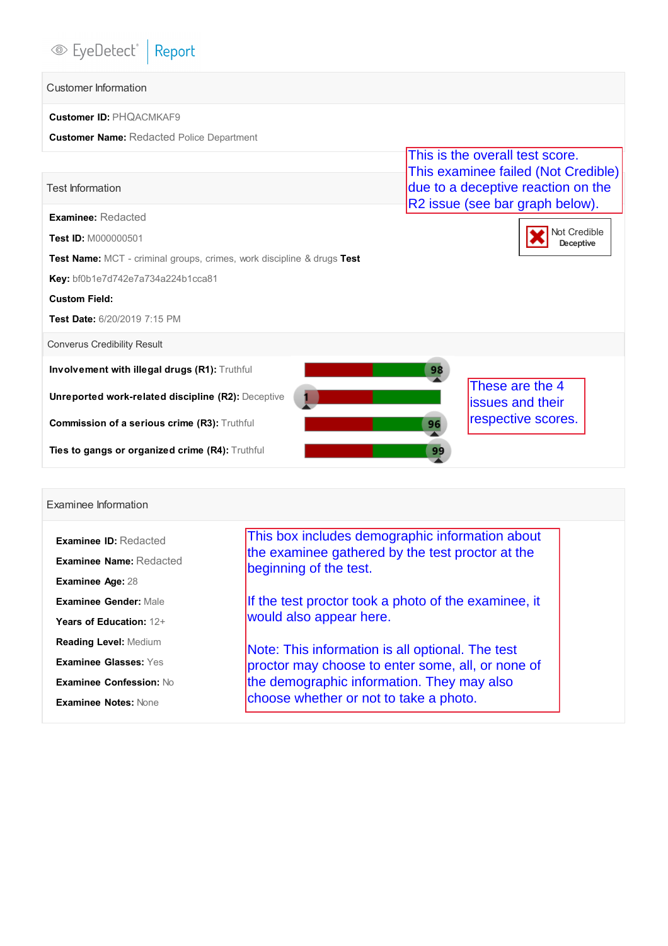# <sup>●</sup>EyeDetect<sup>®</sup> Report

## Customer Information

| <b>Customer ID: PHOACMKAF9</b>                   |
|--------------------------------------------------|
| <b>Customer Name: Redacted Police Department</b> |

|                                                                               | This is the overall test score.<br>This examinee failed (Not Credible) |
|-------------------------------------------------------------------------------|------------------------------------------------------------------------|
| <b>Test Information</b>                                                       | due to a deceptive reaction on the<br>R2 issue (see bar graph below).  |
| <b>Examinee: Redacted</b>                                                     |                                                                        |
| Test ID: M000000501                                                           | Not Credible<br>Deceptive                                              |
| <b>Test Name:</b> MCT - criminal groups, crimes, work discipline & drugs Test |                                                                        |
| Key: bf0b1e7d742e7a734a224b1cca81                                             |                                                                        |
| <b>Custom Field:</b>                                                          |                                                                        |
| Test Date: 6/20/2019 7:15 PM                                                  |                                                                        |
| <b>Converus Credibility Result</b>                                            |                                                                        |
| <b>Involvement with illegal drugs (R1): Truthful</b>                          | 98                                                                     |
| Unreported work-related discipline (R2): Deceptive                            | These are the 4<br><b>issues and their</b>                             |
| Commission of a serious crime (R3): Truthful                                  | respective scores.<br>96                                               |
| <b>Ties to gangs or organized crime (R4):</b> Truthful                        | 99                                                                     |

### Examinee Information

| <b>Examinee ID: Redacted</b>   | This box includes demographic information about                            |  |  |  |  |  |
|--------------------------------|----------------------------------------------------------------------------|--|--|--|--|--|
| <b>Examinee Name: Redacted</b> | the examinee gathered by the test proctor at the<br>beginning of the test. |  |  |  |  |  |
| Examinee Age: 28               |                                                                            |  |  |  |  |  |
| Examinee Gender: Male          | If the test proctor took a photo of the examinee, it                       |  |  |  |  |  |
| Years of Education: 12+        | would also appear here.                                                    |  |  |  |  |  |
| <b>Reading Level: Medium</b>   | Note: This information is all optional. The test                           |  |  |  |  |  |
| <b>Examinee Glasses: Yes</b>   | proctor may choose to enter some, all, or none of                          |  |  |  |  |  |
| Examinee Confession: No        | the demographic information. They may also                                 |  |  |  |  |  |
| <b>Examinee Notes: None</b>    | choose whether or not to take a photo.                                     |  |  |  |  |  |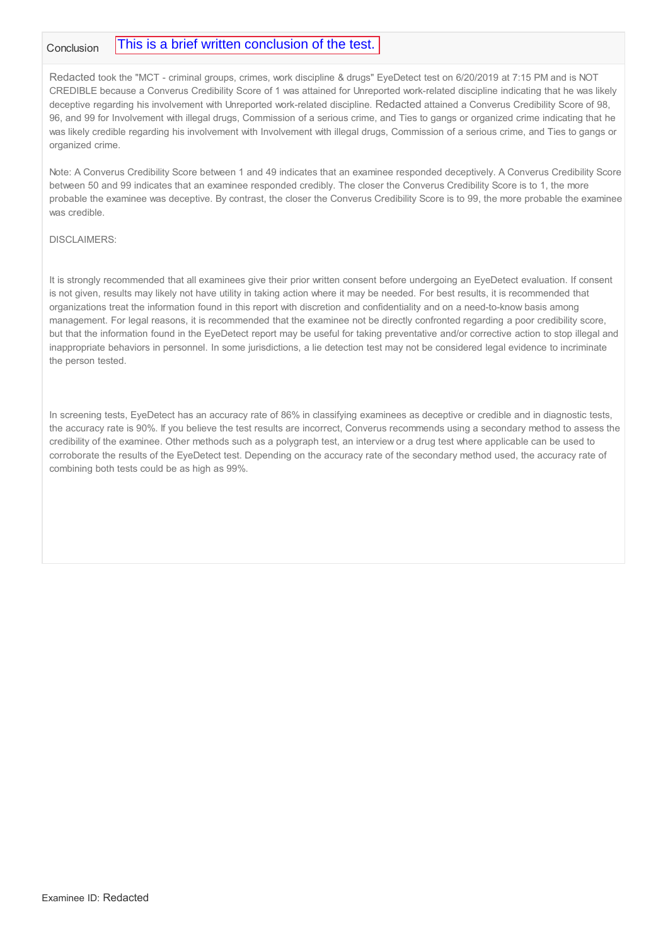#### Conclusion This is a brief written conclusion of the test.

Redacted took the "MCT - criminal groups, crimes, work discipline & drugs" EyeDetect test on 6/20/2019 at 7:15 PM and is NOT CREDIBLE because a Converus Credibility Score of 1 was attained for Unreported work-related discipline indicating that he was likely deceptive regarding his involvement with Unreported work-related discipline. Redacted attained a Converus Credibility Score of 98, 96, and 99 for Involvement with illegal drugs, Commission of a serious crime, and Ties to gangs or organized crime indicating that he was likely credible regarding his involvement with Involvement with illegal drugs, Commission of a serious crime, and Ties to gangs or organized crime.

Note: A Converus Credibility Score between 1 and 49 indicates that an examinee responded deceptively. A Converus Credibility Score between 50 and 99 indicates that an examinee responded credibly. The closer the Converus Credibility Score is to 1, the more probable the examinee was deceptive. By contrast, the closer the Converus Credibility Score is to 99, the more probable the examinee was credible.

#### DISCLAIMERS:

It is strongly recommended that all examinees give their prior written consent before undergoing an EyeDetect evaluation. If consent is not given, results may likely not have utility in taking action where it may be needed. For best results, it is recommended that organizations treat the information found in this report with discretion and confidentiality and on a need-to-know basis among management. For legal reasons, it is recommended that the examinee not be directly confronted regarding a poor credibility score, but that the information found in the EyeDetect report may be useful for taking preventative and/or corrective action to stop illegal and inappropriate behaviors in personnel. In some jurisdictions, a lie detection test may not be considered legal evidence to incriminate the person tested.

In screening tests, EyeDetect has an accuracy rate of 86% in classifying examinees as deceptive or credible and in diagnostic tests, the accuracy rate is 90%. If you believe the test results are incorrect, Converus recommends using a secondary method to assess the credibility of the examinee. Other methods such as a polygraph test, an interview or a drug test where applicable can be used to corroborate the results of the EyeDetect test. Depending on the accuracy rate of the secondary method used, the accuracy rate of combining both tests could be as high as 99%.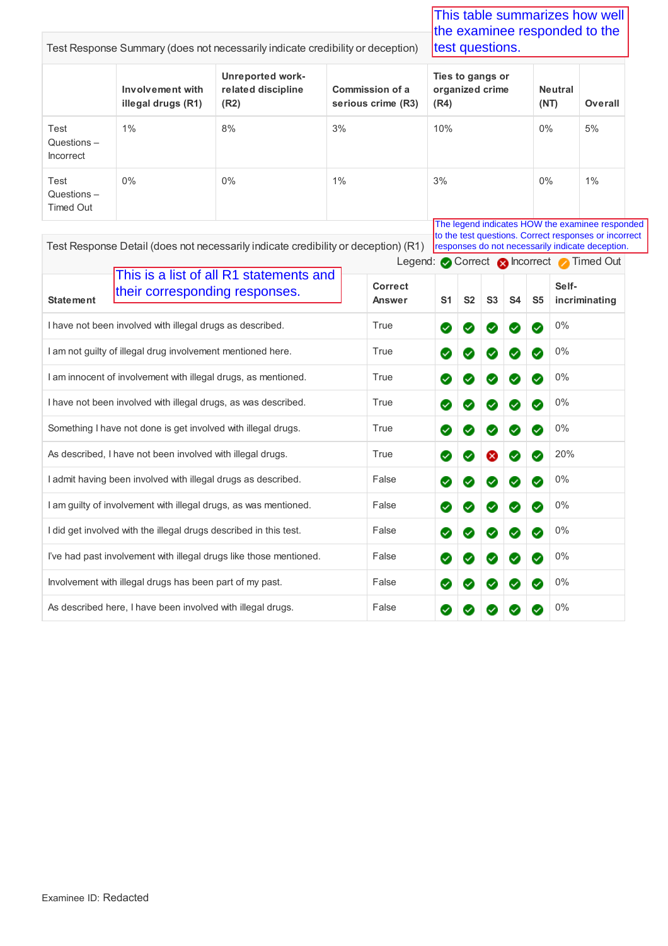Test Response Summary (does not necessarily indicate credibility or deception) **Involvement with illegal drugs (R1) Unreported workrelated discipline (R2) Commission of a serious crime (R3) Ties to gangs or organized crime (R4) Neutral (NT) Overall** Test Questions – Incorrect 1% 8% 8% 3% 10% 0% 5% Test Questions – Timed Out 0% 0% 1% 1% 3% 0% 1% 1% Legend: Correct **R** Incorrect Timed Out Test Response Detail (does not necessarily indicate credibility or deception) (R1) **Statement Correct Answer S1 S2 S3 S4 S5 Selfincriminating** I have not been involved with illegal drugs as described. True True **0 8 8 8 8 8 8 9 1 0**% I am not guilty of illegal drug involvement mentioned here. True 0% I am innocent of involvement with illegal drugs, as mentioned. True **0 8 8 8 8 8 8 9 1 0**% Text Response Summary (description the summarizes for the summarizes how well be examinee to condition the transmission for the transmission for the transmission for the transmission for the transmission of the transmissi the examinee responded to the test questions. This is a list of all R1 statements and their corresponding responses. The legend indicates HOW the examinee responded to the test questions. Correct responses or incorrect responses do not necessarily indicate deception.

I have not been involved with illegal drugs, as was described. True 0%

Something I have not done is get involved with illegal drugs. True **0 8 8 8 8 8 8 8 9 1 0**%

As described, I have not been involved with illegal drugs. True **20 8 8 8 2** 20%

I admit having been involved with illegal drugs as described. False **0 8 8 8 8 8 9 9 10**%

I am guilty of involvement with illegal drugs, as was mentioned. False **0 8 8 8 8 8 9 9** 0%

I did get involved with the illegal drugs described in this test. False **0 8 8 8 8 8 9 1 0**%

I've had past involvement with illegal drugs like those mentioned.  $\blacksquare$  False  $\blacksquare$   $\blacksquare$   $\blacksquare$   $\blacksquare$   $\blacksquare$   $\blacksquare$   $\blacksquare$   $\blacksquare$   $\blacksquare$   $\blacksquare$   $\blacksquare$   $\blacksquare$   $\blacksquare$   $\blacksquare$   $\blacksquare$   $\blacksquare$   $\blacksquare$   $\blacksquare$   $\blacksquare$   $\blacksquare$ 

Involvement with illegal drugs has been part of my past.  $\blacksquare$  False  $\blacksquare$   $\blacksquare$   $\blacksquare$   $\blacksquare$   $\blacksquare$  0%

As described here, I have been involved with illegal drugs. The state of the state of the control of the 10%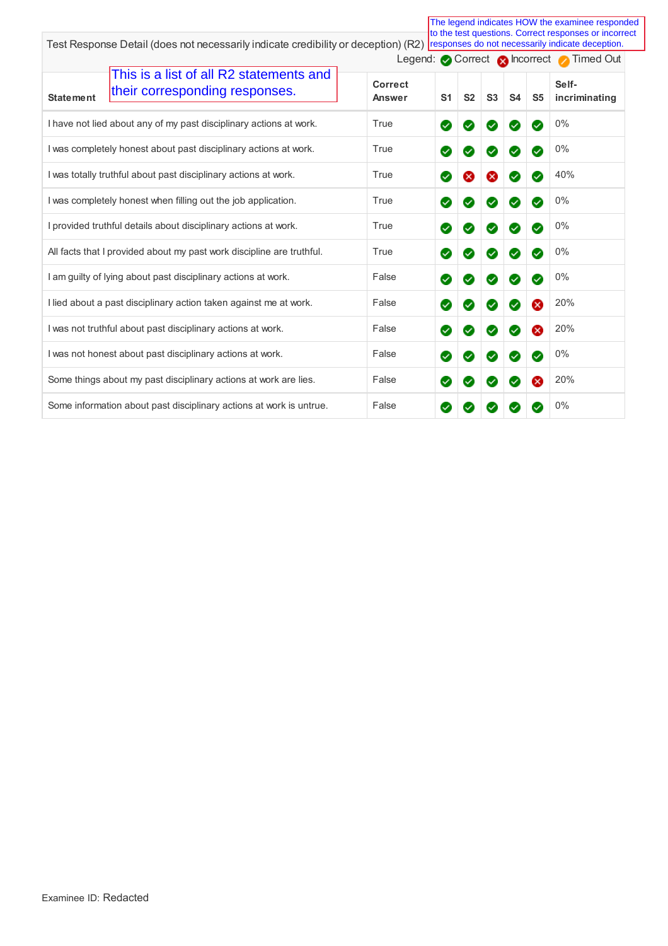|                                                                                               |                   |                            |                |                      |              |                       | The legend indicates HOW the examinee responded<br>to the test questions. Correct responses or incorrect |
|-----------------------------------------------------------------------------------------------|-------------------|----------------------------|----------------|----------------------|--------------|-----------------------|----------------------------------------------------------------------------------------------------------|
| Test Response Detail (does not necessarily indicate credibility or deception) (R2)            |                   |                            |                |                      |              |                       | responses do not necessarily indicate deception.<br>Legend: Correct Chronect Timed Out                   |
| This is a list of all R2 statements and<br>their corresponding responses.<br><b>Statement</b> | Correct<br>Answer | S <sub>1</sub>             | S <sub>2</sub> | S <sub>3</sub>       | <b>S4</b>    | S <sub>5</sub>        | Self-<br>incriminating                                                                                   |
| I have not lied about any of my past disciplinary actions at work.                            | True              | ⊗                          | ✓              | $\sim$               | $\checkmark$ | $\boldsymbol{\omega}$ | 0%                                                                                                       |
| I was completely honest about past disciplinary actions at work.                              | True              | Ø                          |                | Ø                    | $\checkmark$ | $\checkmark$          | 0%                                                                                                       |
| I was totally truthful about past disciplinary actions at work.                               | True              | Ø                          |                | ×                    | $\checkmark$ | $\checkmark$          | 40%                                                                                                      |
| I was completely honest when filling out the job application.                                 | True              | $\boldsymbol{\mathcal{L}}$ |                | ✓                    | $\checkmark$ | $\checkmark$          | 0%                                                                                                       |
| I provided truthful details about disciplinary actions at work.                               | True              | ⊗                          |                | ✓                    | $\checkmark$ | $\sim$                | 0%                                                                                                       |
| All facts that I provided about my past work discipline are truthful.                         | True              | Ø                          |                | $\sim$               | $\checkmark$ | $\checkmark$          | 0%                                                                                                       |
| I am guilty of lying about past disciplinary actions at work.                                 | False             | Ø                          |                | $\omega$             | ✓            | $\checkmark$          | 0%                                                                                                       |
| I lied about a past disciplinary action taken against me at work.                             | False             | Ø                          |                | Ø                    |              |                       | 20%                                                                                                      |
| I was not truthful about past disciplinary actions at work.                                   | False             | Ø                          |                | $\checkmark$         | $\checkmark$ |                       | 20%                                                                                                      |
| I was not honest about past disciplinary actions at work.                                     | False             | ⊗                          | ✓              | $\blacktriangledown$ | $\checkmark$ | $\omega$              | 0%                                                                                                       |
| Some things about my past disciplinary actions at work are lies.                              | False             | Ø                          | ✓              | $\sim$               | $\checkmark$ |                       | 20%                                                                                                      |
| Some information about past disciplinary actions at work is untrue.                           | False             | Ø                          |                |                      |              |                       | 0%                                                                                                       |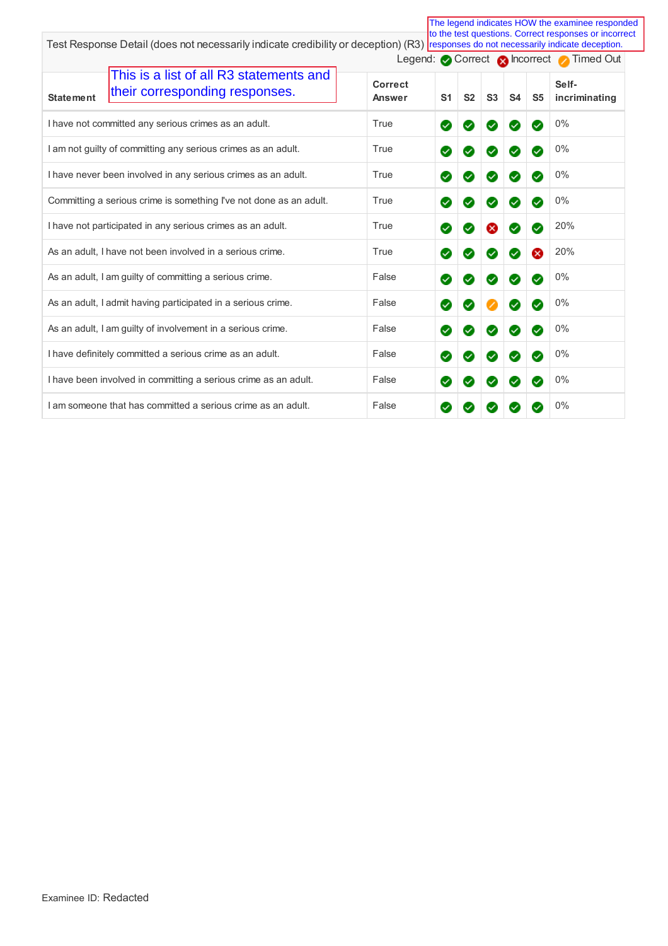| The legend indicates HOW the examinee responded<br>to the test questions. Correct responses or incorrect                            |                          |                |                |                      |                            |                            |                                            |
|-------------------------------------------------------------------------------------------------------------------------------------|--------------------------|----------------|----------------|----------------------|----------------------------|----------------------------|--------------------------------------------|
| Test Response Detail (does not necessarily indicate credibility or deception) (R3) responses do not necessarily indicate deception. |                          |                |                |                      |                            |                            |                                            |
|                                                                                                                                     |                          |                |                |                      |                            |                            | Legend: Correct Chronect Correct Timed Out |
| This is a list of all R3 statements and<br>their corresponding responses.<br><b>Statement</b>                                       | <b>Correct</b><br>Answer | S <sub>1</sub> | S <sub>2</sub> | S3                   | S <sub>4</sub>             | S <sub>5</sub>             | Self-<br>incriminating                     |
| I have not committed any serious crimes as an adult.                                                                                | True                     | Ø              | $\sim$         | Ø                    | $\sim$                     | $\bm{\triangledown}$       | 0%                                         |
| I am not guilty of committing any serious crimes as an adult.                                                                       | True                     | Ø              | $\checkmark$   | $\blacktriangledown$ | $\checkmark$               | $\boldsymbol{\omega}$      | 0%                                         |
| I have never been involved in any serious crimes as an adult.                                                                       | True                     | Ø              |                | ✓                    | ✓                          | $\boldsymbol{\omega}$      | 0%                                         |
| Committing a serious crime is something I've not done as an adult.                                                                  | True                     | Ø              | $\checkmark$   | $\checkmark$         | $\checkmark$               | $\boldsymbol{\omega}$      | 0%                                         |
| I have not participated in any serious crimes as an adult.                                                                          | True                     | Ø              | $\checkmark$   | X)                   | $\sim$                     | $\boldsymbol{\omega}$      | 20%                                        |
| As an adult, I have not been involved in a serious crime.                                                                           | True                     | Ø              | $\checkmark$   | Ø                    | $\checkmark$               | $\infty$                   | 20%                                        |
| As an adult, I am guilty of committing a serious crime.                                                                             | False                    | Ø              | $\checkmark$   | $\blacktriangledown$ | $\checkmark$               | $\boldsymbol{\omega}$      | 0%                                         |
| As an adult, I admit having participated in a serious crime.                                                                        | False                    | Ø              |                |                      | $\checkmark$               | $\boldsymbol{\omega}$      | 0%                                         |
| As an adult, I am guilty of involvement in a serious crime.                                                                         | False                    | Ø              | $\checkmark$   | Ø                    | $\blacktriangledown$       | $\boldsymbol{\omega}$      | 0%                                         |
| I have definitely committed a serious crime as an adult.                                                                            | False                    | Ø              | $\checkmark$   | $\blacktriangledown$ | $\boldsymbol{\mathcal{S}}$ | Ø                          | 0%                                         |
| I have been involved in committing a serious crime as an adult.                                                                     | False                    | Ø              | $\checkmark$   | Ø                    | ✓                          | $\boldsymbol{\mathcal{S}}$ | 0%                                         |
| I am someone that has committed a serious crime as an adult.                                                                        | False                    | $\checkmark$   |                |                      |                            |                            | 0%                                         |